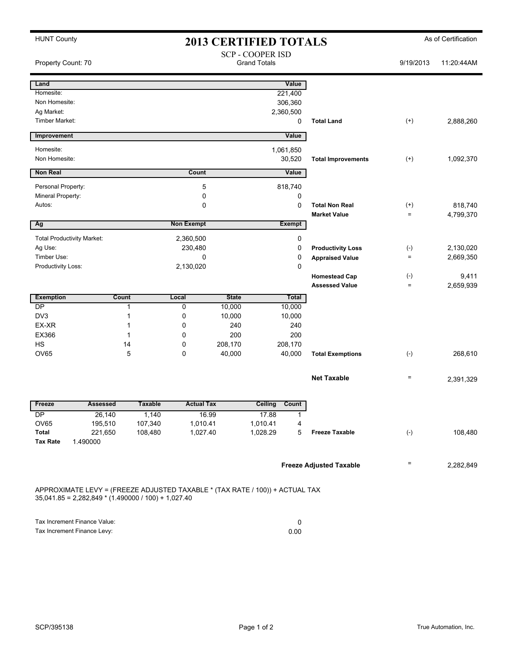| <b>HUNT County</b>                                                                                                                    | <b>2013 CERTIFIED TOTALS</b>                                         |                    |                      |              |                      |               |                                               | As of Certification        |                      |  |
|---------------------------------------------------------------------------------------------------------------------------------------|----------------------------------------------------------------------|--------------------|----------------------|--------------|----------------------|---------------|-----------------------------------------------|----------------------------|----------------------|--|
|                                                                                                                                       | <b>SCP - COOPER ISD</b><br><b>Grand Totals</b><br>Property Count: 70 |                    |                      |              |                      |               | 9/19/2013                                     | 11:20:44AM                 |                      |  |
| Land                                                                                                                                  |                                                                      |                    |                      |              |                      | Value         |                                               |                            |                      |  |
| Homesite:                                                                                                                             |                                                                      |                    |                      |              |                      | 221,400       |                                               |                            |                      |  |
| Non Homesite:                                                                                                                         |                                                                      |                    |                      |              |                      | 306,360       |                                               |                            |                      |  |
| Ag Market:                                                                                                                            |                                                                      |                    |                      |              |                      | 2,360,500     |                                               |                            |                      |  |
| Timber Market:                                                                                                                        |                                                                      |                    |                      |              |                      | 0             | <b>Total Land</b>                             | $^{(+)}$                   | 2,888,260            |  |
| Improvement                                                                                                                           |                                                                      |                    |                      |              |                      | Value         |                                               |                            |                      |  |
| Homesite:                                                                                                                             |                                                                      |                    |                      |              |                      | 1,061,850     |                                               |                            |                      |  |
| Non Homesite:                                                                                                                         |                                                                      |                    |                      |              |                      | 30,520        | <b>Total Improvements</b>                     | $(+)$                      | 1,092,370            |  |
| <b>Non Real</b>                                                                                                                       |                                                                      |                    | Count                |              |                      | Value         |                                               |                            |                      |  |
| Personal Property:                                                                                                                    |                                                                      |                    | 5                    |              |                      | 818,740       |                                               |                            |                      |  |
| Mineral Property:                                                                                                                     |                                                                      |                    | 0                    |              |                      | 0             |                                               |                            |                      |  |
| Autos:                                                                                                                                |                                                                      |                    | 0                    |              |                      | 0             | <b>Total Non Real</b><br><b>Market Value</b>  | $^{(+)}$<br>$\equiv$       | 818.740<br>4,799,370 |  |
| Ag                                                                                                                                    |                                                                      |                    | <b>Non Exempt</b>    |              |                      | <b>Exempt</b> |                                               |                            |                      |  |
|                                                                                                                                       |                                                                      |                    |                      |              |                      |               |                                               |                            |                      |  |
| <b>Total Productivity Market:</b>                                                                                                     |                                                                      |                    | 2,360,500            |              |                      | 0             |                                               |                            |                      |  |
| Ag Use:                                                                                                                               |                                                                      |                    | 230,480              |              |                      | 0             | <b>Productivity Loss</b>                      | $(-)$                      | 2,130,020            |  |
| Timber Use:<br>$\mathbf 0$                                                                                                            |                                                                      |                    |                      |              |                      | 0             | <b>Appraised Value</b>                        | $\equiv$                   | 2,669,350            |  |
| Productivity Loss:                                                                                                                    |                                                                      |                    | 2,130,020            |              |                      | 0             |                                               |                            |                      |  |
|                                                                                                                                       |                                                                      |                    |                      |              |                      |               | <b>Homestead Cap</b><br><b>Assessed Value</b> | $(-)$<br>$=$               | 9,411<br>2,659,939   |  |
| <b>Exemption</b>                                                                                                                      | Count                                                                |                    | Local                | <b>State</b> |                      | Total         |                                               |                            |                      |  |
| DP                                                                                                                                    | 1                                                                    |                    | 0                    | 10,000       |                      | 10,000        |                                               |                            |                      |  |
| DV3                                                                                                                                   | 1                                                                    |                    | 0                    | 10,000       |                      | 10,000        |                                               |                            |                      |  |
| EX-XR                                                                                                                                 | 1                                                                    |                    | 0                    | 240          |                      | 240           |                                               |                            |                      |  |
| EX366                                                                                                                                 | 1                                                                    |                    | $\Omega$             | 200          |                      | 200           |                                               |                            |                      |  |
| <b>HS</b>                                                                                                                             | 14                                                                   |                    | 0                    | 208,170      |                      | 208,170       |                                               |                            |                      |  |
| <b>OV65</b>                                                                                                                           | 5                                                                    |                    | $\Omega$             | 40,000       |                      | 40,000        | <b>Total Exemptions</b>                       | $(-)$                      | 268,610              |  |
|                                                                                                                                       |                                                                      |                    |                      |              |                      |               |                                               |                            |                      |  |
|                                                                                                                                       |                                                                      |                    |                      |              |                      |               | <b>Net Taxable</b>                            | $\equiv$                   | 2,391,329            |  |
|                                                                                                                                       |                                                                      |                    |                      |              |                      |               |                                               |                            |                      |  |
| Freeze                                                                                                                                | Assessed                                                             | Taxable            | <b>Actual Tax</b>    |              | Ceiling              | Count         |                                               |                            |                      |  |
| DP                                                                                                                                    | 26,140                                                               | 1,140              |                      | 16.99        | 17.88                | 1             |                                               |                            |                      |  |
| OV65<br>Total                                                                                                                         | 195,510<br>221,650                                                   | 107,340<br>108,480 | 1,010.41<br>1,027.40 |              | 1,010.41<br>1,028.29 | 4<br>5        | <b>Freeze Taxable</b>                         | $(-)$                      | 108,480              |  |
| <b>Tax Rate</b>                                                                                                                       | 1.490000                                                             |                    |                      |              |                      |               |                                               |                            |                      |  |
|                                                                                                                                       |                                                                      |                    |                      |              |                      |               |                                               |                            |                      |  |
|                                                                                                                                       |                                                                      |                    |                      |              |                      |               | <b>Freeze Adjusted Taxable</b>                | $\quad \  \, =\quad \  \,$ | 2,282,849            |  |
|                                                                                                                                       |                                                                      |                    |                      |              |                      |               |                                               |                            |                      |  |
| APPROXIMATE LEVY = (FREEZE ADJUSTED TAXABLE * (TAX RATE / 100)) + ACTUAL TAX<br>$35,041.85 = 2,282,849 * (1.490000 / 100) + 1,027.40$ |                                                                      |                    |                      |              |                      |               |                                               |                            |                      |  |
|                                                                                                                                       |                                                                      |                    |                      |              |                      | 0             |                                               |                            |                      |  |
| Tax Increment Finance Value:<br>Tax Increment Finance Levy:                                                                           |                                                                      |                    |                      | 0.00         |                      |               |                                               |                            |                      |  |
|                                                                                                                                       |                                                                      |                    |                      |              |                      |               |                                               |                            |                      |  |